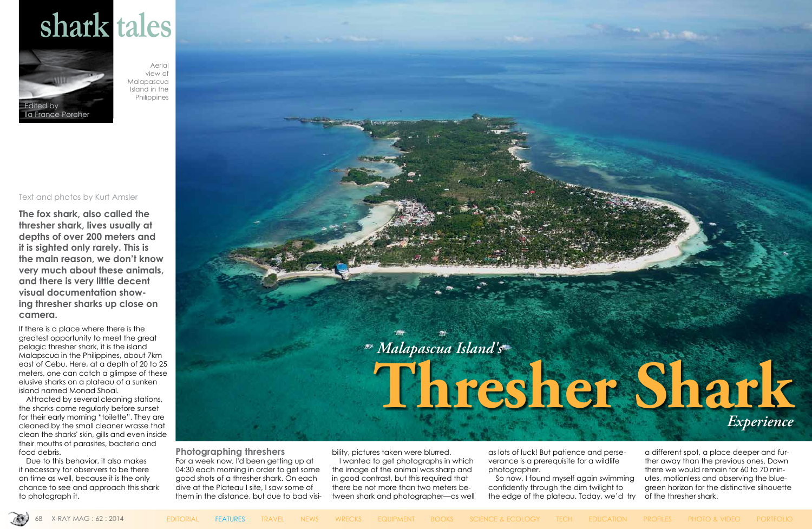## **shark tales**





Text and photos by Kurt Amsler

**The fox shark, also called the thresher shark, lives usually at depths of over 200 meters and it is sighted only rarely. This is the main reason, we don't know very much about these animals, and there is very little decent visual documentation showing thresher sharks up close on camera.**

If there is a place where there is the greatest opportunity to meet the great pelagic thresher shark, it is the island Malapscua in the Philippines, about 7km east of Cebu. Here, at a depth of 20 to 25 meters, one can catch a glimpse of these elusive sharks on a plateau of a sunken island named Monad Shoal.

Attracted by several cleaning stations, the sharks come regularly before sunset for their early morning "toilette". They are cleaned by the small cleaner wrasse that clean the sharks' skin, gills and even inside their mouths of parasites, bacteria and food debris.

Due to this behavior, it also makes it necessary for observers to be there on time as well, because it is the only chance to see and approach this shark to photograph it.

**Photographing threshers** For a week now, I'd been getting up at 04:30 each morning in order to get some good shots of a thresher shark. On each dive at the Plateau I site, I saw some of them in the distance, but due to bad visibility, pictures taken were blurred.

I wanted to get photographs in which the image of the animal was sharp and in good contrast, but this required that there be not more than two meters between shark and photographer—as well as lots of luck! But patience and perseverance is a prerequisite for a wildlife photographer.

So now, I found myself again swimming confidently through the dim twilight to the edge of the plateau. Today, we'd try



a different spot, a place deeper and further away than the previous ones. Down there we would remain for 60 to 70 minutes, motionless and observing the bluegreen horizon for the distinctive silhouette of the thresher shark.

Aerial view of Malapascua Island in the Philippines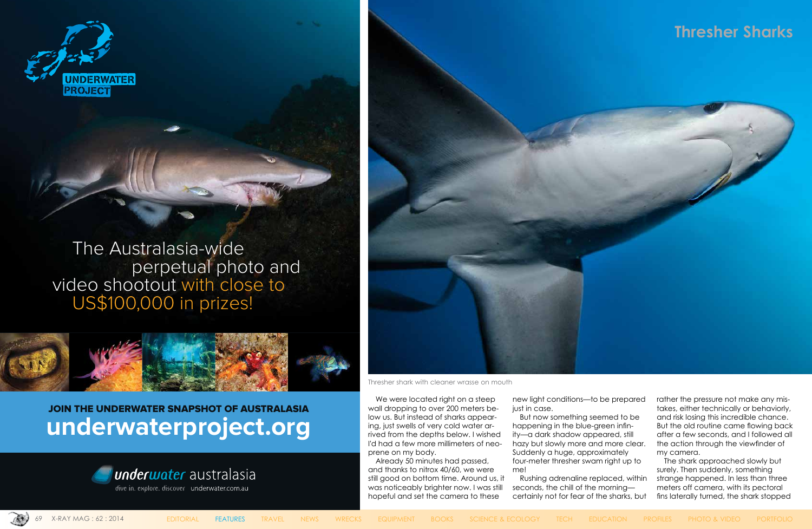

 The Australasia-wide perpetual photo and video shootout with close to US\$100,000 in prizes!



## JOIN THE UNDERWATER SNAPSHOT OF AUSTRALASIA **[underwaterproject.org](http://www.underwater.com.au)**

We were located right on a steep wall dropping to over 200 meters below us. But instead of sharks appearing, just swells of very cold water arrived from the depths below. I wished I'd had a few more millimeters of neoprene on my body.



dive in. explore. discover underwater.com.au



## **Thresher Sharks**



Already 50 minutes had passed, and thanks to nitrox 40/60, we were still good on bottom time. Around us, it was noticeably brighter now. I was still hopeful and set the camera to these

new light conditions—to be prepared just in case.

But now something seemed to be happening in the blue-green infinity—a dark shadow appeared, still hazy but slowly more and more clear. Suddenly a huge, approximately four-meter thresher swam right up to me!

Rushing adrenaline replaced, within seconds, the chill of the morning certainly not for fear of the sharks, but



rather the pressure not make any mistakes, either technically or behaviorly, and risk losing this incredible chance. But the old routine came flowing back after a few seconds, and I followed all the action through the viewfinder of my camera.

The shark approached slowly but surely. Then suddenly, something strange happened. In less than three meters off camera, with its pectoral fins laterally turned, the shark stopped

Thresher shark with cleaner wrasse on mouth